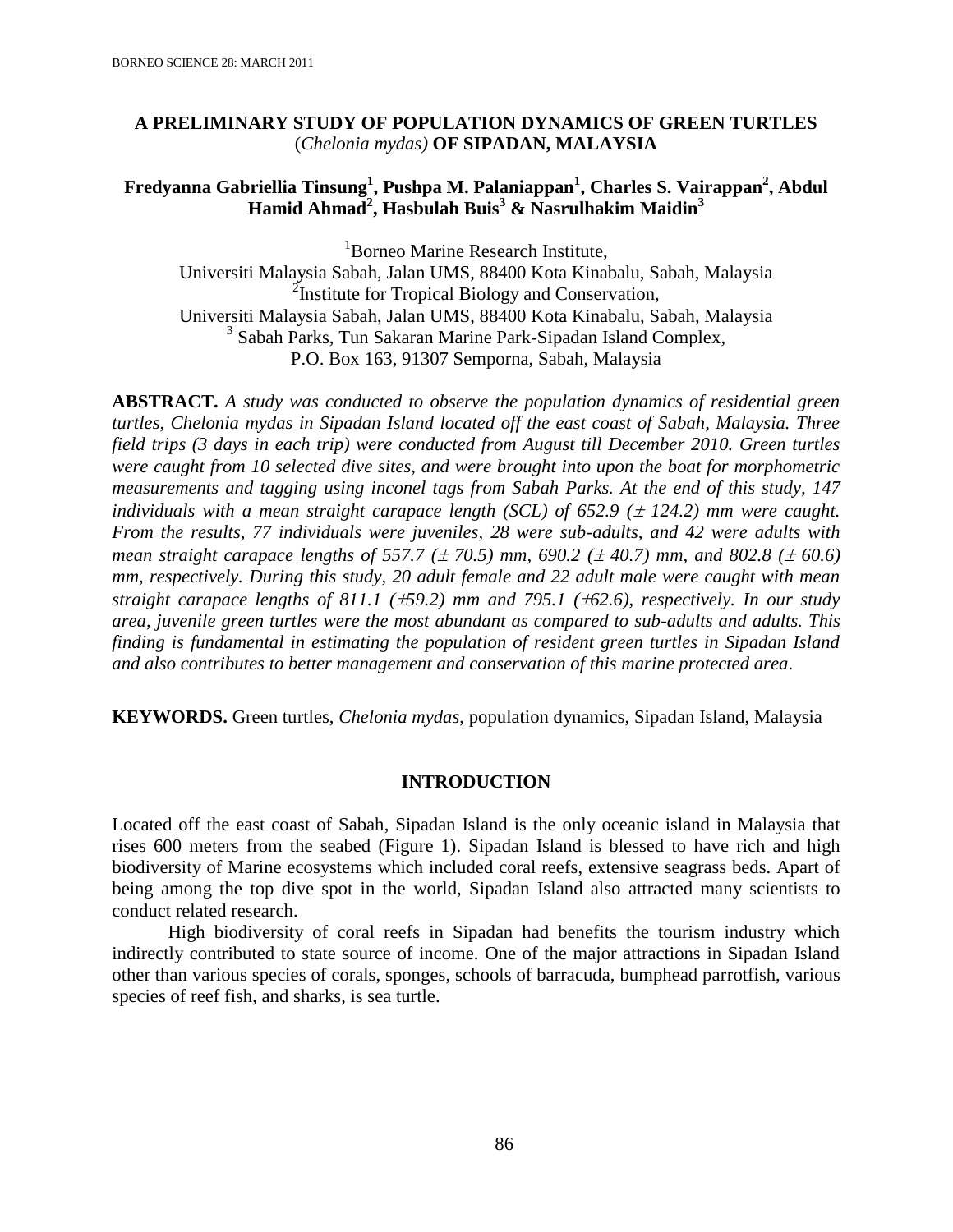## **A PRELIMINARY STUDY OF POPULATION DYNAMICS OF GREEN TURTLES**  (*Chelonia mydas)* **OF SIPADAN, MALAYSIA**

# **Fredyanna Gabriellia Tinsung<sup>1</sup> , Pushpa M. Palaniappan<sup>1</sup> , Charles S. Vairappan<sup>2</sup> , Abdul Hamid Ahmad<sup>2</sup> , Hasbulah Buis<sup>3</sup> & Nasrulhakim Maidin<sup>3</sup>**

<sup>1</sup>Borneo Marine Research Institute. Universiti Malaysia Sabah, Jalan UMS, 88400 Kota Kinabalu, Sabah, Malaysia <sup>2</sup>Institute for Tropical Biology and Conservation, Universiti Malaysia Sabah, Jalan UMS, 88400 Kota Kinabalu, Sabah, Malaysia <sup>3</sup> Sabah Parks, Tun Sakaran Marine Park-Sipadan Island Complex, P.O. Box 163, 91307 Semporna, Sabah, Malaysia

**ABSTRACT.** *A study was conducted to observe the population dynamics of residential green turtles, Chelonia mydas in Sipadan Island located off the east coast of Sabah, Malaysia. Three field trips (3 days in each trip) were conducted from August till December 2010. Green turtles were caught from 10 selected dive sites, and were brought into upon the boat for morphometric measurements and tagging using inconel tags from Sabah Parks. At the end of this study, 147 individuals with a mean straight carapace length (SCL) of 652.9 (* $\pm$  *124.2) mm were caught. From the results, 77 individuals were juveniles, 28 were sub-adults, and 42 were adults with mean straight carapace lengths of 557.7 (* $\pm$  *70.5) mm, 690.2 (* $\pm$  *40.7) mm, and 802.8 (* $\pm$  *60.6) mm, respectively. During this study, 20 adult female and 22 adult male were caught with mean straight carapace lengths of 811.1 (59.2) mm and 795.1 (62.6), respectively. In our study area, juvenile green turtles were the most abundant as compared to sub-adults and adults. This finding is fundamental in estimating the population of resident green turtles in Sipadan Island and also contributes to better management and conservation of this marine protected area*.

**KEYWORDS.** Green turtles, *Chelonia mydas*, population dynamics, Sipadan Island, Malaysia

### **INTRODUCTION**

Located off the east coast of Sabah, Sipadan Island is the only oceanic island in Malaysia that rises 600 meters from the seabed (Figure 1). Sipadan Island is blessed to have rich and high biodiversity of Marine ecosystems which included coral reefs, extensive seagrass beds. Apart of being among the top dive spot in the world, Sipadan Island also attracted many scientists to conduct related research.

High biodiversity of coral reefs in Sipadan had benefits the tourism industry which indirectly contributed to state source of income. One of the major attractions in Sipadan Island other than various species of corals, sponges, schools of barracuda, bumphead parrotfish, various species of reef fish, and sharks, is sea turtle.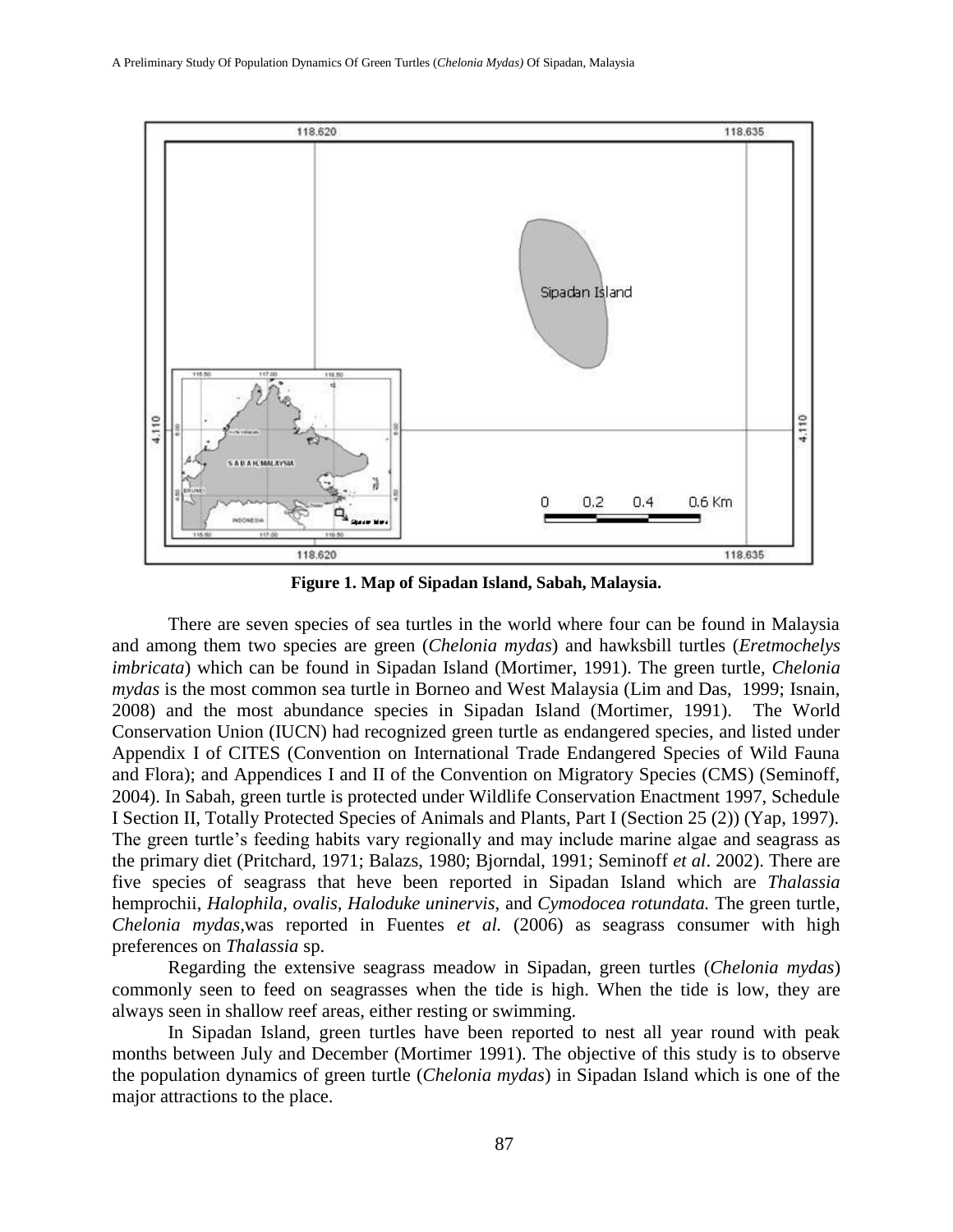

**Figure 1. Map of Sipadan Island, Sabah, Malaysia.**

There are seven species of sea turtles in the world where four can be found in Malaysia and among them two species are green (*Chelonia mydas*) and hawksbill turtles (*Eretmochelys imbricata*) which can be found in Sipadan Island (Mortimer, 1991). The green turtle, *Chelonia mydas* is the most common sea turtle in Borneo and West Malaysia (Lim and Das, 1999; Isnain, 2008) and the most abundance species in Sipadan Island (Mortimer, 1991). The World Conservation Union (IUCN) had recognized green turtle as endangered species, and listed under Appendix I of CITES (Convention on International Trade Endangered Species of Wild Fauna and Flora); and Appendices I and II of the Convention on Migratory Species (CMS) (Seminoff, 2004). In Sabah, green turtle is protected under Wildlife Conservation Enactment 1997, Schedule I Section II, Totally Protected Species of Animals and Plants, Part I (Section 25 (2)) (Yap, 1997). The green turtle's feeding habits vary regionally and may include marine algae and seagrass as the primary diet (Pritchard, 1971; Balazs, 1980; Bjorndal, 1991; Seminoff *et al*. 2002). There are five species of seagrass that heve been reported in Sipadan Island which are *Thalassia*  hemprochii, *Halophila, ovalis, Haloduke uninervis,* and *Cymodocea rotundata.* The green turtle, *Chelonia mydas,*was reported in Fuentes *et al.* (2006) as seagrass consumer with high preferences on *Thalassia* sp.

Regarding the extensive seagrass meadow in Sipadan, green turtles (*Chelonia mydas*) commonly seen to feed on seagrasses when the tide is high. When the tide is low, they are always seen in shallow reef areas, either resting or swimming.

In Sipadan Island, green turtles have been reported to nest all year round with peak months between July and December (Mortimer 1991). The objective of this study is to observe the population dynamics of green turtle (*Chelonia mydas*) in Sipadan Island which is one of the major attractions to the place.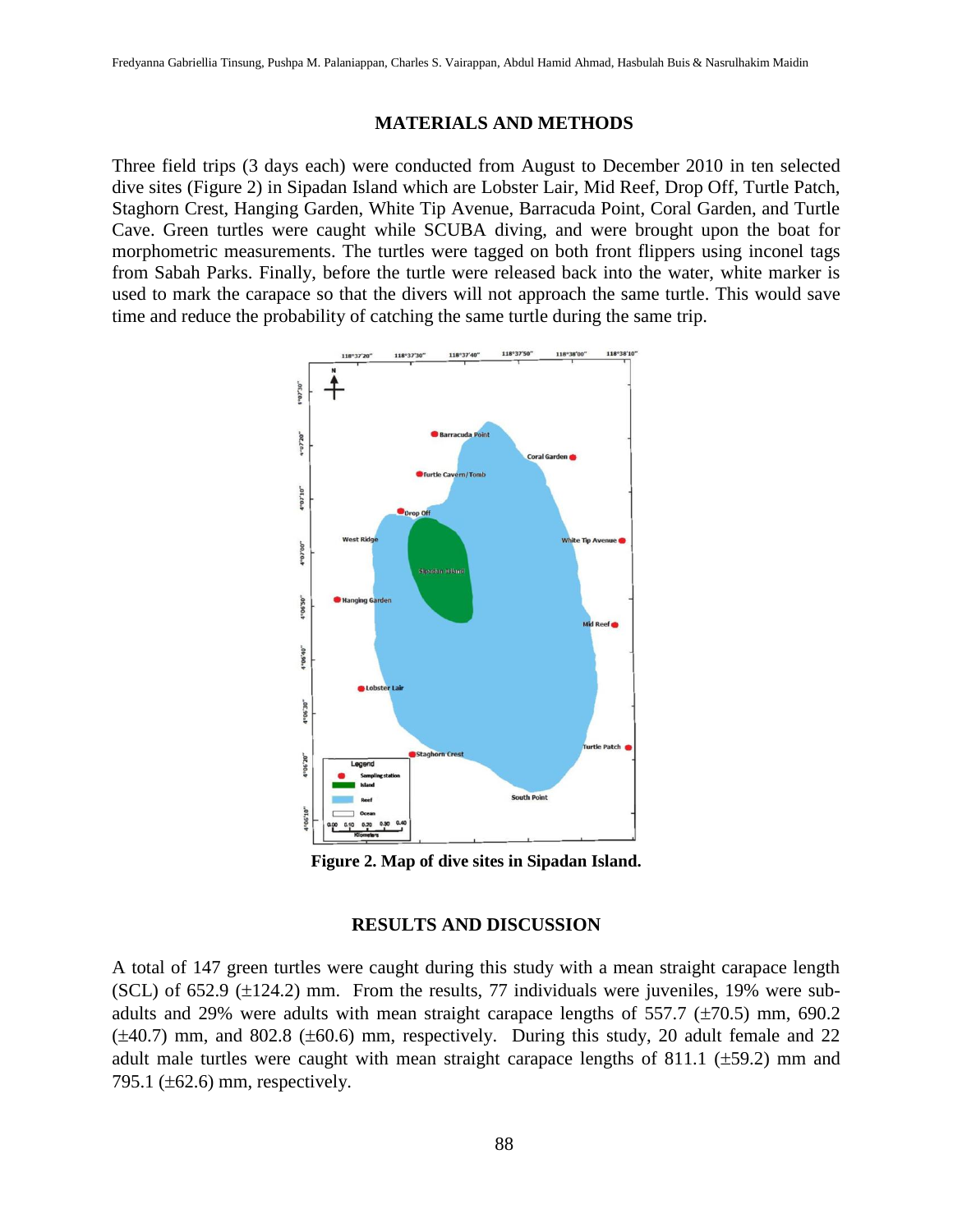### **MATERIALS AND METHODS**

Three field trips (3 days each) were conducted from August to December 2010 in ten selected dive sites (Figure 2) in Sipadan Island which are Lobster Lair, Mid Reef, Drop Off, Turtle Patch, Staghorn Crest, Hanging Garden, White Tip Avenue, Barracuda Point, Coral Garden, and Turtle Cave. Green turtles were caught while SCUBA diving, and were brought upon the boat for morphometric measurements. The turtles were tagged on both front flippers using inconel tags from Sabah Parks. Finally, before the turtle were released back into the water, white marker is used to mark the carapace so that the divers will not approach the same turtle. This would save time and reduce the probability of catching the same turtle during the same trip.



**Figure 2. Map of dive sites in Sipadan Island.**

### **RESULTS AND DISCUSSION**

A total of 147 green turtles were caught during this study with a mean straight carapace length (SCL) of  $652.9$  ( $\pm$ 124.2) mm. From the results, 77 individuals were juveniles, 19% were subadults and 29% were adults with mean straight carapace lengths of 557.7  $(\pm 70.5)$  mm, 690.2  $(\pm 40.7)$  mm, and 802.8  $(\pm 60.6)$  mm, respectively. During this study, 20 adult female and 22 adult male turtles were caught with mean straight carapace lengths of 811.1 ( $\pm$ 59.2) mm and 795.1 ( $\pm$ 62.6) mm, respectively.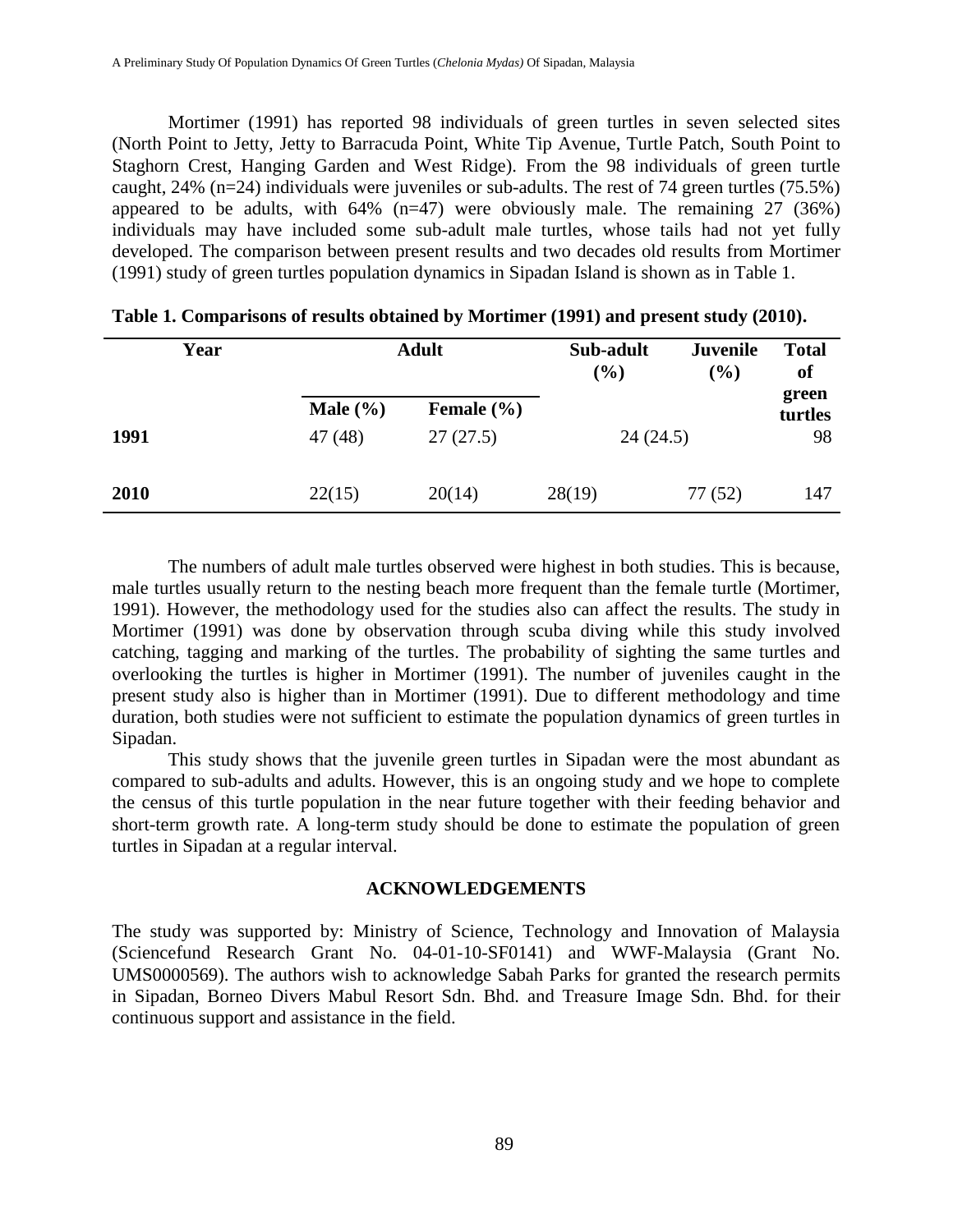Mortimer (1991) has reported 98 individuals of green turtles in seven selected sites (North Point to Jetty, Jetty to Barracuda Point, White Tip Avenue, Turtle Patch, South Point to Staghorn Crest, Hanging Garden and West Ridge). From the 98 individuals of green turtle caught, 24% (n=24) individuals were juveniles or sub-adults. The rest of 74 green turtles (75.5%) appeared to be adults, with  $64\%$  (n=47) were obviously male. The remaining 27 (36%) individuals may have included some sub-adult male turtles, whose tails had not yet fully developed. The comparison between present results and two decades old results from Mortimer (1991) study of green turtles population dynamics in Sipadan Island is shown as in Table 1.

| Year | <b>Adult</b>           |                            | Sub-adult<br><b>Juvenile</b><br>(%)<br>(%) |         | <b>Total</b><br>of     |  |
|------|------------------------|----------------------------|--------------------------------------------|---------|------------------------|--|
| 1991 | Male $(\% )$<br>47(48) | Female $(\% )$<br>27(27.5) | 24(24.5)                                   |         | green<br>turtles<br>98 |  |
| 2010 | 22(15)                 | 20(14)                     | 28(19)                                     | 77 (52) | 147                    |  |

| Table 1. Comparisons of results obtained by Mortimer (1991) and present study (2010). |  |  |  |
|---------------------------------------------------------------------------------------|--|--|--|
|                                                                                       |  |  |  |

The numbers of adult male turtles observed were highest in both studies. This is because, male turtles usually return to the nesting beach more frequent than the female turtle (Mortimer, 1991). However, the methodology used for the studies also can affect the results. The study in Mortimer (1991) was done by observation through scuba diving while this study involved catching, tagging and marking of the turtles. The probability of sighting the same turtles and overlooking the turtles is higher in Mortimer (1991). The number of juveniles caught in the present study also is higher than in Mortimer (1991). Due to different methodology and time duration, both studies were not sufficient to estimate the population dynamics of green turtles in Sipadan.

This study shows that the juvenile green turtles in Sipadan were the most abundant as compared to sub-adults and adults. However, this is an ongoing study and we hope to complete the census of this turtle population in the near future together with their feeding behavior and short-term growth rate. A long-term study should be done to estimate the population of green turtles in Sipadan at a regular interval.

#### **ACKNOWLEDGEMENTS**

The study was supported by: Ministry of Science, Technology and Innovation of Malaysia (Sciencefund Research Grant No. 04-01-10-SF0141) and WWF-Malaysia (Grant No. UMS0000569). The authors wish to acknowledge Sabah Parks for granted the research permits in Sipadan, Borneo Divers Mabul Resort Sdn. Bhd. and Treasure Image Sdn. Bhd. for their continuous support and assistance in the field.